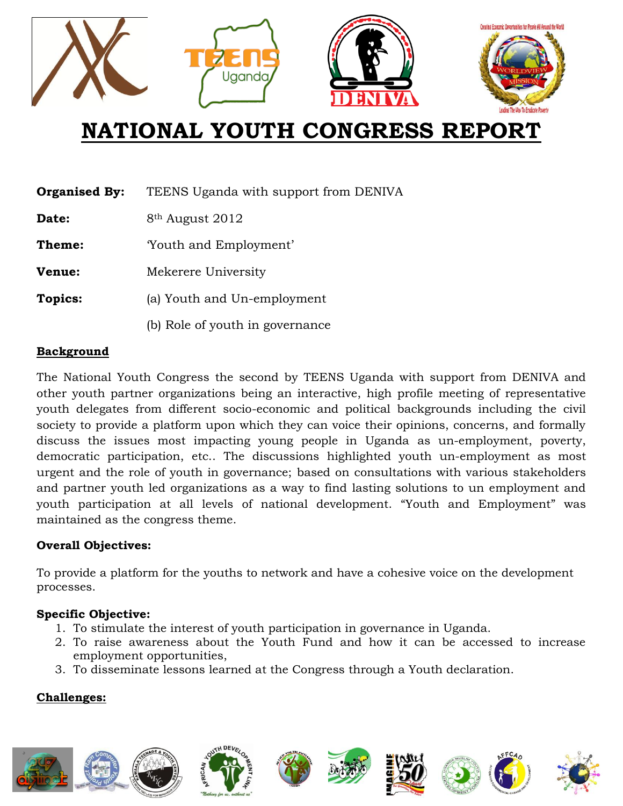

# **NATIONAL YOUTH CONGRESS REPORT**

| <b>Organised By:</b> | TEENS Uganda with support from DENIVA |
|----------------------|---------------------------------------|
| Date:                | 8 <sup>th</sup> August 2012           |
| Theme:               | Youth and Employment'                 |
| Venue:               | Mekerere University                   |
| <b>Topics:</b>       | (a) Youth and Un-employment           |
|                      | (b) Role of youth in governance       |
|                      |                                       |

#### **Background**

The National Youth Congress the second by TEENS Uganda with support from DENIVA and other youth partner organizations being an interactive, high profile meeting of representative youth delegates from different socio-economic and political backgrounds including the civil society to provide a platform upon which they can voice their opinions, concerns, and formally discuss the issues most impacting young people in Uganda as un-employment, poverty, democratic participation, etc.. The discussions highlighted youth un-employment as most urgent and the role of youth in governance; based on consultations with various stakeholders and partner youth led organizations as a way to find lasting solutions to un employment and youth participation at all levels of national development. "Youth and Employment" was maintained as the congress theme.

#### **Overall Objectives:**

To provide a platform for the youths to network and have a cohesive voice on the development processes.

#### **Specific Objective:**

- 1. To stimulate the interest of youth participation in governance in Uganda.
- 2. To raise awareness about the Youth Fund and how it can be accessed to increase employment opportunities,
- 3. To disseminate lessons learned at the Congress through a Youth declaration.

## **Challenges:**